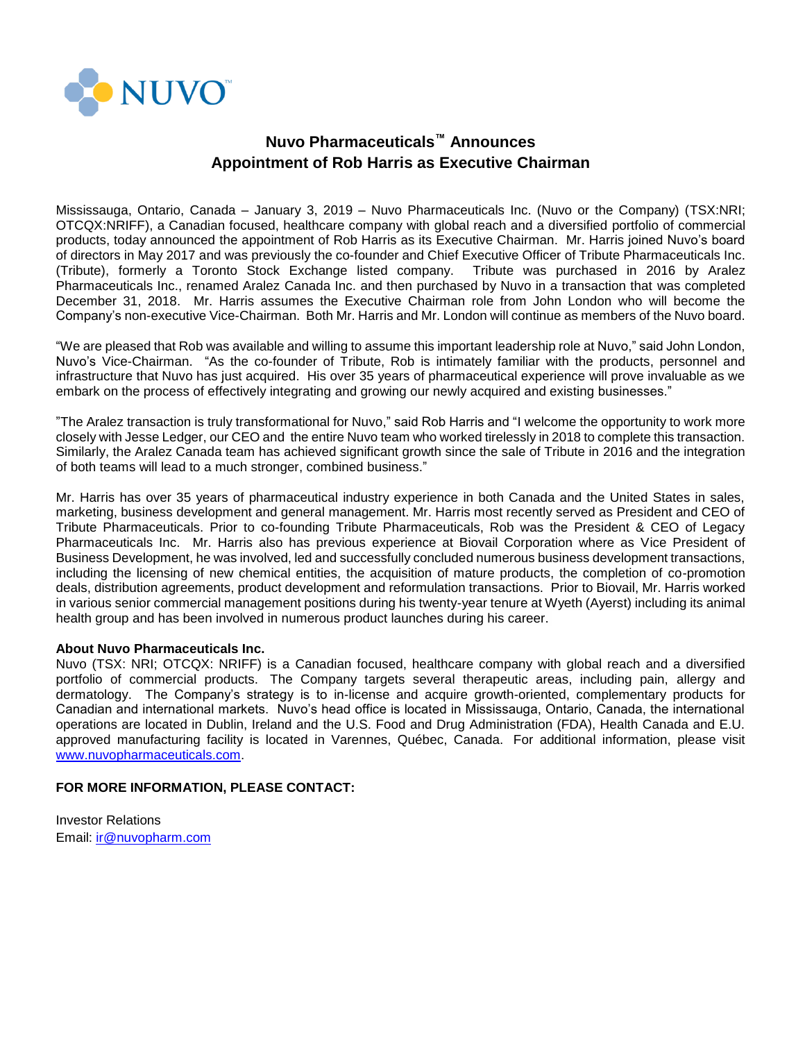

## **Nuvo Pharmaceuticals™ Announces Appointment of Rob Harris as Executive Chairman**

Mississauga, Ontario, Canada – January 3, 2019 – Nuvo Pharmaceuticals Inc. (Nuvo or the Company) (TSX:NRI; OTCQX:NRIFF), a Canadian focused, healthcare company with global reach and a diversified portfolio of commercial products, today announced the appointment of Rob Harris as its Executive Chairman. Mr. Harris joined Nuvo's board of directors in May 2017 and was previously the co-founder and Chief Executive Officer of Tribute Pharmaceuticals Inc. (Tribute), formerly a Toronto Stock Exchange listed company. Tribute was purchased in 2016 by Aralez Pharmaceuticals Inc., renamed Aralez Canada Inc. and then purchased by Nuvo in a transaction that was completed December 31, 2018. Mr. Harris assumes the Executive Chairman role from John London who will become the Company's non-executive Vice-Chairman. Both Mr. Harris and Mr. London will continue as members of the Nuvo board.

"We are pleased that Rob was available and willing to assume this important leadership role at Nuvo," said John London, Nuvo's Vice-Chairman. "As the co-founder of Tribute, Rob is intimately familiar with the products, personnel and infrastructure that Nuvo has just acquired. His over 35 years of pharmaceutical experience will prove invaluable as we embark on the process of effectively integrating and growing our newly acquired and existing businesses."

"The Aralez transaction is truly transformational for Nuvo," said Rob Harris and "I welcome the opportunity to work more closely with Jesse Ledger, our CEO and the entire Nuvo team who worked tirelessly in 2018 to complete this transaction. Similarly, the Aralez Canada team has achieved significant growth since the sale of Tribute in 2016 and the integration of both teams will lead to a much stronger, combined business."

Mr. Harris has over 35 years of pharmaceutical industry experience in both Canada and the United States in sales, marketing, business development and general management. Mr. Harris most recently served as President and CEO of Tribute Pharmaceuticals. Prior to co-founding Tribute Pharmaceuticals, Rob was the President & CEO of Legacy Pharmaceuticals Inc. Mr. Harris also has previous experience at Biovail Corporation where as Vice President of Business Development, he was involved, led and successfully concluded numerous business development transactions, including the licensing of new chemical entities, the acquisition of mature products, the completion of co-promotion deals, distribution agreements, product development and reformulation transactions. Prior to Biovail, Mr. Harris worked in various senior commercial management positions during his twenty-year tenure at Wyeth (Ayerst) including its animal health group and has been involved in numerous product launches during his career.

## **About Nuvo Pharmaceuticals Inc.**

Nuvo (TSX: NRI; OTCQX: NRIFF) is a Canadian focused, healthcare company with global reach and a diversified portfolio of commercial products. The Company targets several therapeutic areas, including pain, allergy and dermatology. The Company's strategy is to in-license and acquire growth-oriented, complementary products for Canadian and international markets. Nuvo's head office is located in Mississauga, Ontario, Canada, the international operations are located in Dublin, Ireland and the U.S. Food and Drug Administration (FDA), Health Canada and E.U. approved manufacturing facility is located in Varennes, Québec, Canada. For additional information, please visit [www.nuvopharmaceuticals.com.](http://www.nuvopharmaceuticals.com/)

## **FOR MORE INFORMATION, PLEASE CONTACT:**

Investor Relations Email: [ir@nuvopharm.com](mailto:ir@nuvopharm.com)